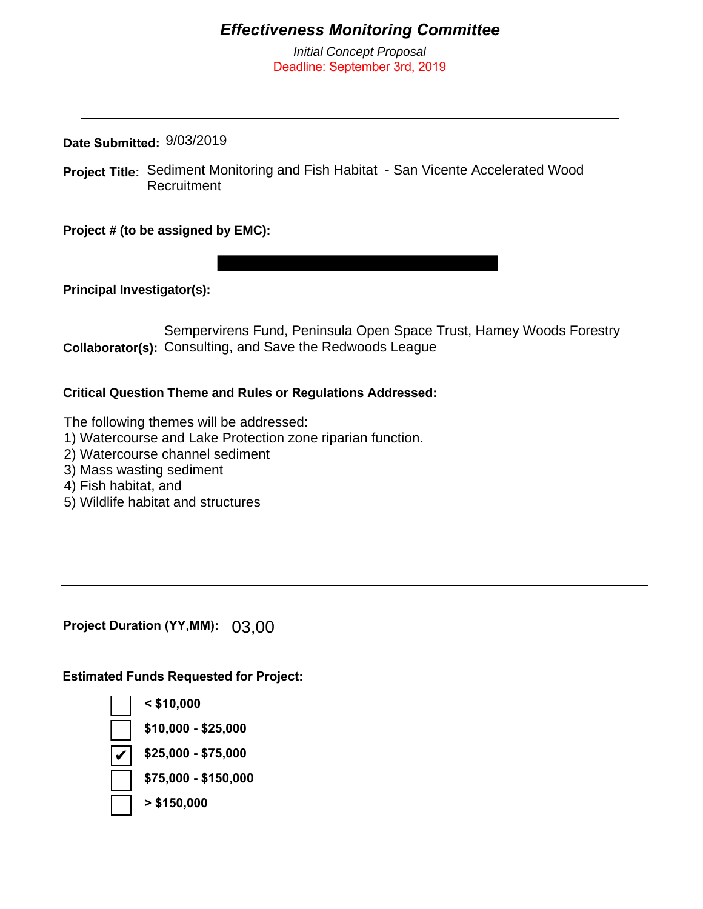# *Effectiveness Monitoring Committee*

*Initial Concept Proposal* Deadline: September 3rd, 2019

**Date Submitted:**  9/03/2019

**Project Title:** Sediment Monitoring and Fish Habitat - San Vicente Accelerated Wood Recruitment

**Project # (to be assigned by EMC):**

**Principal Investigator(s):** 

Collaborator(s): Consulting, and Save the Redwoods League Sempervirens Fund, Peninsula Open Space Trust, Hamey Woods Forestry

#### **Critical Question Theme and Rules or Regulations Addressed:**

The following themes will be addressed:

- 1) Watercourse and Lake Protection zone riparian function.
- 2) Watercourse channel sediment
- 3) Mass wasting sediment
- 4) Fish habitat, and
- 5) Wildlife habitat and structures

**Project Duration (YY,MM):** 03,00

**Estimated Funds Requested for Project:**